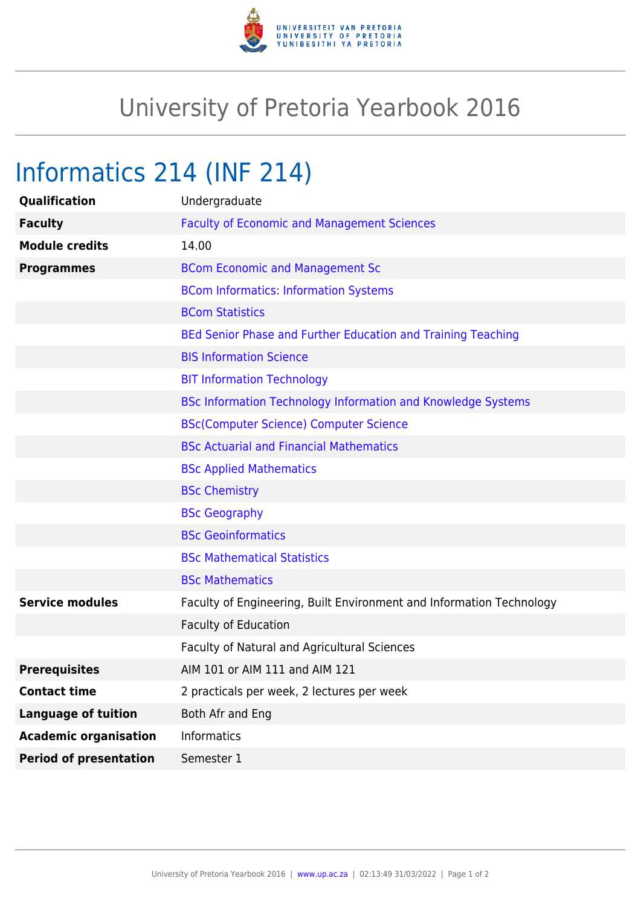

## University of Pretoria Yearbook 2016

## Informatics 214 (INF 214)

| Qualification                 | Undergraduate                                                        |
|-------------------------------|----------------------------------------------------------------------|
| <b>Faculty</b>                | <b>Faculty of Economic and Management Sciences</b>                   |
| <b>Module credits</b>         | 14.00                                                                |
| <b>Programmes</b>             | <b>BCom Economic and Management Sc</b>                               |
|                               | <b>BCom Informatics: Information Systems</b>                         |
|                               | <b>BCom Statistics</b>                                               |
|                               | BEd Senior Phase and Further Education and Training Teaching         |
|                               | <b>BIS Information Science</b>                                       |
|                               | <b>BIT Information Technology</b>                                    |
|                               | <b>BSc Information Technology Information and Knowledge Systems</b>  |
|                               | <b>BSc(Computer Science) Computer Science</b>                        |
|                               | <b>BSc Actuarial and Financial Mathematics</b>                       |
|                               | <b>BSc Applied Mathematics</b>                                       |
|                               | <b>BSc Chemistry</b>                                                 |
|                               | <b>BSc Geography</b>                                                 |
|                               | <b>BSc Geoinformatics</b>                                            |
|                               | <b>BSc Mathematical Statistics</b>                                   |
|                               | <b>BSc Mathematics</b>                                               |
| <b>Service modules</b>        | Faculty of Engineering, Built Environment and Information Technology |
|                               | <b>Faculty of Education</b>                                          |
|                               | Faculty of Natural and Agricultural Sciences                         |
| <b>Prerequisites</b>          | AIM 101 or AIM 111 and AIM 121                                       |
| <b>Contact time</b>           | 2 practicals per week, 2 lectures per week                           |
| <b>Language of tuition</b>    | Both Afr and Eng                                                     |
| <b>Academic organisation</b>  | <b>Informatics</b>                                                   |
| <b>Period of presentation</b> | Semester 1                                                           |